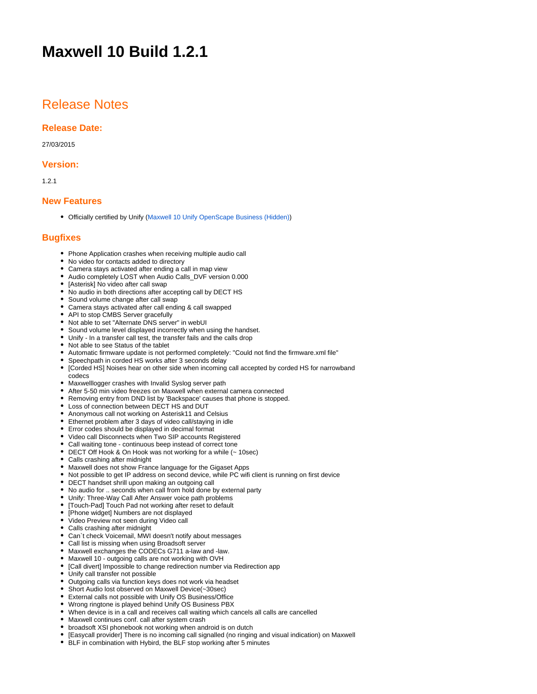# **Maxwell 10 Build 1.2.1**

### Release Notes

#### **Release Date:**

#### 27/03/2015

#### **Version:**

1.2.1

#### **New Features**

Officially certified by Unify [\(Maxwell 10 Unify OpenScape Business \(Hidden\)](https://teamwork.gigaset.com/gigawiki/pages/viewpage.action?pageId=160366728))

#### **Bugfixes**

- Phone Application crashes when receiving multiple audio call
- No video for contacts added to directory
- Camera stays activated after ending a call in map view
- Audio completely LOST when Audio Calls\_DVF version 0.000
- [Asterisk] No video after call swap
- No audio in both directions after accepting call by DECT HS
- Sound volume change after call swap
- Camera stays activated after call ending & call swapped
- API to stop CMBS Server gracefully
- Not able to set "Alternate DNS server" in webUI
- Sound volume level displayed incorrectly when using the handset.
- Unify In a transfer call test, the transfer fails and the calls drop
- Not able to see Status of the tablet
- Automatic firmware update is not performed completely: "Could not find the firmware.xml file"
- Speechpath in corded HS works after 3 seconds delay
- [Corded HS] Noises hear on other side when incoming call accepted by corded HS for narrowband codecs
- Maxwelllogger crashes with Invalid Syslog server path
- After 5-50 min video freezes on Maxwell when external camera connected
- Removing entry from DND list by 'Backspace' causes that phone is stopped.
- Loss of connection between DECT HS and DUT
- Anonymous call not working on Asterisk11 and Celsius
- Ethernet problem after 3 days of video call/staying in idle
- Error codes should be displayed in decimal format
- Video call Disconnects when Two SIP accounts Registered
- Call waiting tone continuous beep instead of correct tone
- DECT Off Hook & On Hook was not working for a while (~ 10sec)
- Calls crashing after midnight
- Maxwell does not show France language for the Gigaset Apps
- Not possible to get IP address on second device, while PC wifi client is running on first device
- DECT handset shrill upon making an outgoing call
- No audio for .. seconds when call from hold done by external party
- Unify: Three-Way Call After Answer voice path problems
- [Touch-Pad] Touch Pad not working after reset to default
- [Phone widget] Numbers are not displayed
- Video Preview not seen during Video call
- Calls crashing after midnight
- Can`t check Voicemail, MWI doesn't notify about messages
- Call list is missing when using Broadsoft server
- Maxwell exchanges the CODECs G711 a-law and -law.
- Maxwell 10 outgoing calls are not working with OVH
- [Call divert] Impossible to change redirection number via Redirection app
- Unify call transfer not possible
- Outgoing calls via function keys does not work via headset
- Short Audio lost observed on Maxwell Device(~30sec)
- External calls not possible with Unify OS Business/Office
- Wrong ringtone is played behind Unify OS Business PBX
- When device is in a call and receives call waiting which cancels all calls are cancelled
- Maxwell continues conf. call after system crash
- broadsoft XSI phonebook not working when android is on dutch
- [Easycall provider] There is no incoming call signalled (no ringing and visual indication) on Maxwell
- BLF in combination with Hybird, the BLF stop working after 5 minutes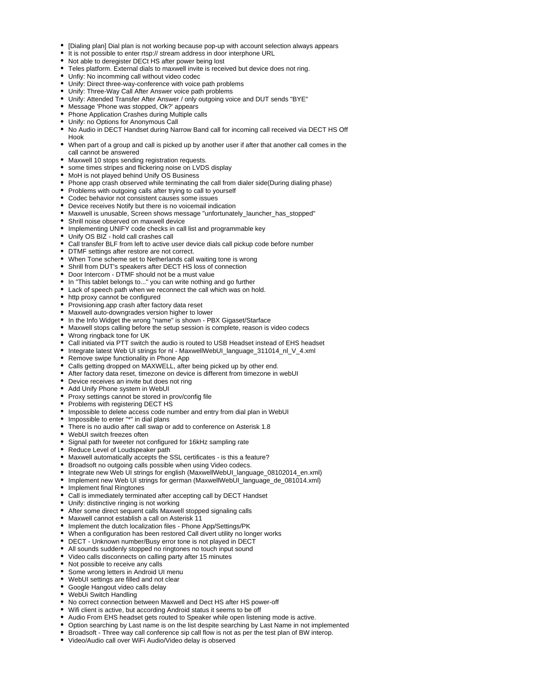- [Dialing plan] Dial plan is not working because pop-up with account selection always appears
- It is not possible to enter rtsp:// stream address in door interphone URL
- Not able to deregister DECt HS after power being lost
- Teles platform. External dials to maxwell invite is received but device does not ring.
- Unfiy: No incomming call without video codec
- Unify: Direct three-way-conference with voice path problems
- Unify: Three-Way Call After Answer voice path problems
- Unify: Attended Transfer After Answer / only outgoing voice and DUT sends "BYE"
- Message 'Phone was stopped, Ok?' appears
- Phone Application Crashes during Multiple calls
- Unify: no Options for Anonymous Call
- No Audio in DECT Handset during Narrow Band call for incoming call received via DECT HS Off Hook
- When part of a group and call is picked up by another user if after that another call comes in the call cannot be answered
- Maxwell 10 stops sending registration requests.
- some times stripes and flickering noise on LVDS display
- MoH is not played behind Unify OS Business
- Phone app crash observed while terminating the call from dialer side(During dialing phase)
- Problems with outgoing calls after trying to call to yourself
- Codec behavior not consistent causes some issues
- Device receives Notify but there is no voicemail indication
- Maxwell is unusable, Screen shows message "unfortunately launcher has stopped"
- Shrill noise observed on maxwell device
- Implementing UNIFY code checks in call list and programmable key
- Unify OS BIZ hold call crashes call
- Call transfer BLF from left to active user device dials call pickup code before number
- DTMF settings after restore are not correct.
- When Tone scheme set to Netherlands call waiting tone is wrong
- Shrill from DUT's speakers after DECT HS loss of connection
- Door Intercom DTMF should not be a must value
- In "This tablet belongs to..." you can write nothing and go further
- Lack of speech path when we reconnect the call which was on hold.
- http proxy cannot be configured
- Provisioning.app crash after factory data reset
- Maxwell auto-downgrades version higher to lower
- In the Info Widget the wrong "name" is shown PBX Gigaset/Starface
- Maxwell stops calling before the setup session is complete, reason is video codecs
- Wrong ringback tone for UK
- Call initiated via PTT switch the audio is routed to USB Headset instead of EHS headset
- Integrate latest Web UI strings for nl MaxwellWebUI\_language\_311014\_nl\_V\_4.xml
- Remove swipe functionality in Phone App
- Calls getting dropped on MAXWELL, after being picked up by other end.
- After factory data reset, timezone on device is different from timezone in webUI
- Device receives an invite but does not ring
- Add Unify Phone system in WebUI
- Proxy settings cannot be stored in prov/config file
- Problems with registering DECT HS
- Impossible to delete access code number and entry from dial plan in WebUI
- Impossible to enter "\*" in dial plans
- There is no audio after call swap or add to conference on Asterisk 1.8
- WebUI switch freezes often
- Signal path for tweeter not configured for 16kHz sampling rate
- Reduce Level of Loudspeaker path
- Maxwell automatically accepts the SSL certificates is this a feature?
- Broadsoft no outgoing calls possible when using Video codecs.
- Integrate new Web UI strings for english (MaxwellWebUI\_language\_08102014\_en.xml)
- Implement new Web UI strings for german (MaxwellWebUI\_language\_de\_081014.xml)
- Implement final Ringtones
- Call is immediately terminated after accepting call by DECT Handset
- Unify: distinctive ringing is not working
- After some direct sequent calls Maxwell stopped signaling calls
- Maxwell cannot establish a call on Asterisk 11
- Implement the dutch localization files Phone App/Settings/PK
- When a configuration has been restored Call divert utility no longer works
- DECT Unknown number/Busy error tone is not played in DECT
- All sounds suddenly stopped no ringtones no touch input sound
- Video calls disconnects on calling party after 15 minutes
- Not possible to receive any calls
- Some wrong letters in Android UI menu
- WebUI settings are filled and not clear
- Google Hangout video calls delay
- WebUi Switch Handling
- No correct connection between Maxwell and Dect HS after HS power-off
- Wifi client is active, but according Android status it seems to be off
- Audio From EHS headset gets routed to Speaker while open listening mode is active.
- Option searching by Last name is on the list despite searching by Last Name in not implemented
- Broadsoft Three way call conference sip call flow is not as per the test plan of BW interop.
- Video/Audio call over WiFi Audio/Video delay is observed